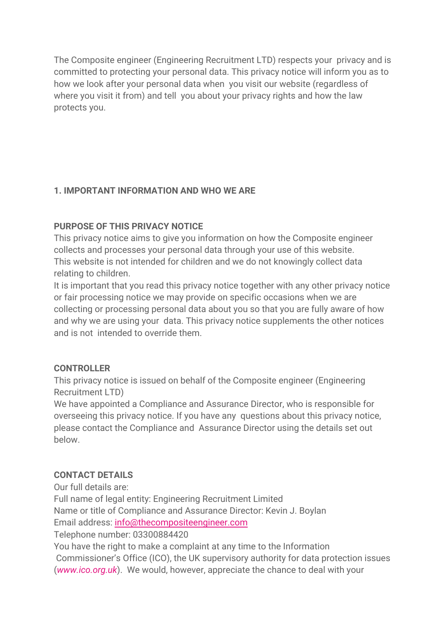The Composite engineer (Engineering Recruitment LTD) respects your privacy and is committed to protecting your personal data. This privacy notice will inform you as to how we look after your personal data when you visit our website (regardless of where you visit it from) and tell you about your privacy rights and how the law protects you.

# **1. IMPORTANT INFORMATION AND WHO WE ARE**

## **PURPOSE OF THIS PRIVACY NOTICE**

This privacy notice aims to give you information on how the Composite engineer collects and processes your personal data through your use of this website. This website is not intended for children and we do not knowingly collect data relating to children.

It is important that you read this privacy notice together with any other privacy notice or fair processing notice we may provide on specific occasions when we are collecting or processing personal data about you so that you are fully aware of how and why we are using your data. This privacy notice supplements the other notices and is not intended to override them.

## **CONTROLLER**

This privacy notice is issued on behalf of the Composite engineer (Engineering Recruitment LTD)

We have appointed a Compliance and Assurance Director, who is responsible for overseeing this privacy notice. If you have any questions about this privacy notice, please contact the Compliance and Assurance Director using the details set out below.

## **CONTACT DETAILS**

Our full details are:

Full name of legal entity: Engineering Recruitment Limited Name or title of Compliance and Assurance Director: Kevin J. Boylan

Email address: [info@thecompositeengineer.com](mailto:info@thecompositeengineer.com)

Telephone number: 03300884420

You have the right to make a complaint at any time to the Information Commissioner's Office (ICO), the UK supervisory authority for data protection issues (*[www.ico.org.uk](http://www.ico.org.uk/)*). We would, however, appreciate the chance to deal with your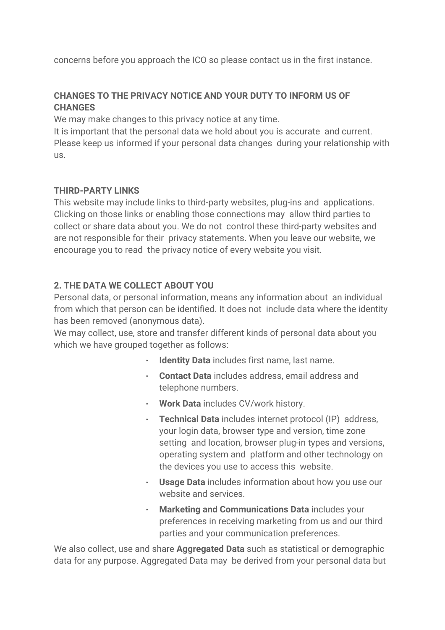concerns before you approach the ICO so please contact us in the first instance.

## **CHANGES TO THE PRIVACY NOTICE AND YOUR DUTY TO INFORM US OF CHANGES**

We may make changes to this privacy notice at any time.

It is important that the personal data we hold about you is accurate and current. Please keep us informed if your personal data changes during your relationship with us.

### **THIRD-PARTY LINKS**

This website may include links to third-party websites, plug-ins and applications. Clicking on those links or enabling those connections may allow third parties to collect or share data about you. We do not control these third-party websites and are not responsible for their privacy statements. When you leave our website, we encourage you to read the privacy notice of every website you visit.

## **2. THE DATA WE COLLECT ABOUT YOU**

Personal data, or personal information, means any information about an individual from which that person can be identified. It does not include data where the identity has been removed (anonymous data).

We may collect, use, store and transfer different kinds of personal data about you which we have grouped together as follows:

- **Identity Data** includes first name, last name.
- **Contact Data** includes address, email address and telephone numbers.
- **Work Data** includes CV/work history.
- **Technical Data** includes internet protocol (IP) address, your login data, browser type and version, time zone setting and location, browser plug-in types and versions, operating system and platform and other technology on the devices you use to access this website.
- **Usage Data** includes information about how you use our website and services.
- **Marketing and Communications Data** includes your preferences in receiving marketing from us and our third parties and your communication preferences.

We also collect, use and share **Aggregated Data** such as statistical or demographic data for any purpose. Aggregated Data may be derived from your personal data but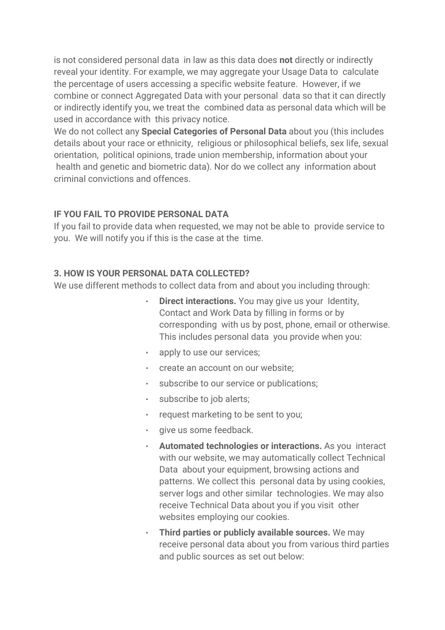is not considered personal data in law as this data does **not** directly or indirectly reveal your identity. For example, we may aggregate your Usage Data to calculate the percentage of users accessing a specific website feature. However, if we combine or connect Aggregated Data with your personal data so that it can directly or indirectly identify you, we treat the combined data as personal data which will be used in accordance with this privacy notice.

We do not collect any **Special Categories of Personal Data** about you (this includes details about your race or ethnicity, religious or philosophical beliefs, sex life, sexual orientation, political opinions, trade union membership, information about your health and genetic and biometric data). Nor do we collect any information about criminal convictions and offences.

#### **IF YOU FAIL TO PROVIDE PERSONAL DATA**

If you fail to provide data when requested, we may not be able to provide service to you. We will notify you if this is the case at the time.

#### **3. HOW IS YOUR PERSONAL DATA COLLECTED?**

We use different methods to collect data from and about you including through:

- **Direct interactions.** You may give us your Identity, Contact and Work Data by filling in forms or by corresponding with us by post, phone, email or otherwise. This includes personal data you provide when you:
- apply to use our services;
- create an account on our website;
- subscribe to our service or publications;
- subscribe to job alerts;
- request marketing to be sent to you;
- give us some feedback.
- **Automated technologies or interactions.** As you interact with our website, we may automatically collect Technical Data about your equipment, browsing actions and patterns. We collect this personal data by using cookies, server logs and other similar technologies. We may also receive Technical Data about you if you visit other websites employing our cookies.
- **Third parties or publicly available sources.** We may receive personal data about you from various third parties and public sources as set out below: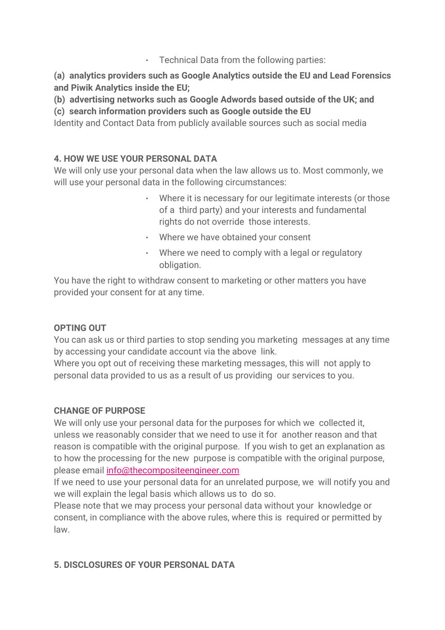## $\cdot$  Technical Data from the following parties:

**(a) analytics providers such as Google Analytics outside the EU and Lead Forensics and Piwik Analytics inside the EU;**

**(b) advertising networks such as Google Adwords based outside of the UK; and**

**(c) search information providers such as Google outside the EU**

Identity and Contact Data from publicly available sources such as social media

# **4. HOW WE USE YOUR PERSONAL DATA**

We will only use your personal data when the law allows us to. Most commonly, we will use your personal data in the following circumstances:

- Where it is necessary for our legitimate interests (or those of a third party) and your interests and fundamental rights do not override those interests.
- Where we have obtained your consent
- Where we need to comply with a legal or regulatory obligation.

You have the right to withdraw consent to marketing or other matters you have provided your consent for at any time.

## **OPTING OUT**

You can ask us or third parties to stop sending you marketing messages at any time by accessing your candidate account via the above link.

Where you opt out of receiving these marketing messages, this will not apply to personal data provided to us as a result of us providing our services to you.

## **CHANGE OF PURPOSE**

We will only use your personal data for the purposes for which we collected it, unless we reasonably consider that we need to use it for another reason and that reason is compatible with the original purpose. If you wish to get an explanation as to how the processing for the new purpose is compatible with the original purpose, please email [info@thecompositeengineer.com](mailto:info@thecompositeengineer.com)

If we need to use your personal data for an unrelated purpose, we will notify you and we will explain the legal basis which allows us to do so.

Please note that we may process your personal data without your knowledge or consent, in compliance with the above rules, where this is required or permitted by law.

## **5. DISCLOSURES OF YOUR PERSONAL DATA**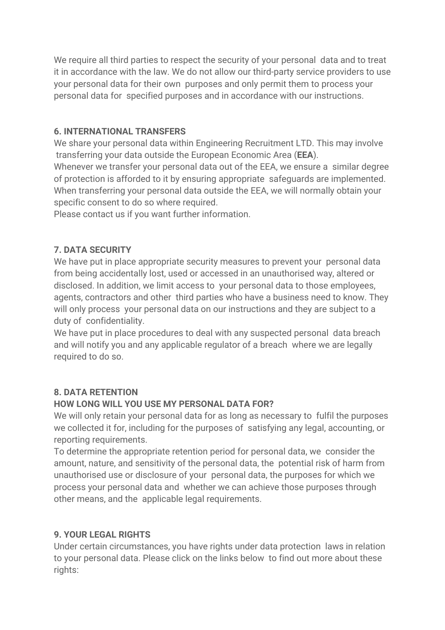We require all third parties to respect the security of your personal data and to treat it in accordance with the law. We do not allow our third-party service providers to use your personal data for their own purposes and only permit them to process your personal data for specified purposes and in accordance with our instructions.

### **6. INTERNATIONAL TRANSFERS**

We share your personal data within Engineering Recruitment LTD. This may involve transferring your data outside the European Economic Area (**EEA**).

Whenever we transfer your personal data out of the EEA, we ensure a similar degree of protection is afforded to it by ensuring appropriate safeguards are implemented. When transferring your personal data outside the EEA, we will normally obtain your specific consent to do so where required.

Please contact us if you want further information.

# **7. DATA SECURITY**

We have put in place appropriate security measures to prevent your personal data from being accidentally lost, used or accessed in an unauthorised way, altered or disclosed. In addition, we limit access to your personal data to those employees, agents, contractors and other third parties who have a business need to know. They will only process your personal data on our instructions and they are subject to a duty of confidentiality.

We have put in place procedures to deal with any suspected personal data breach and will notify you and any applicable regulator of a breach where we are legally required to do so.

## **8. DATA RETENTION**

#### **HOW LONG WILL YOU USE MY PERSONAL DATA FOR?**

We will only retain your personal data for as long as necessary to fulfil the purposes we collected it for, including for the purposes of satisfying any legal, accounting, or reporting requirements.

To determine the appropriate retention period for personal data, we consider the amount, nature, and sensitivity of the personal data, the potential risk of harm from unauthorised use or disclosure of your personal data, the purposes for which we process your personal data and whether we can achieve those purposes through other means, and the applicable legal requirements.

## **9. YOUR LEGAL RIGHTS**

Under certain circumstances, you have rights under data protection laws in relation to your personal data. Please click on the links below to find out more about these rights: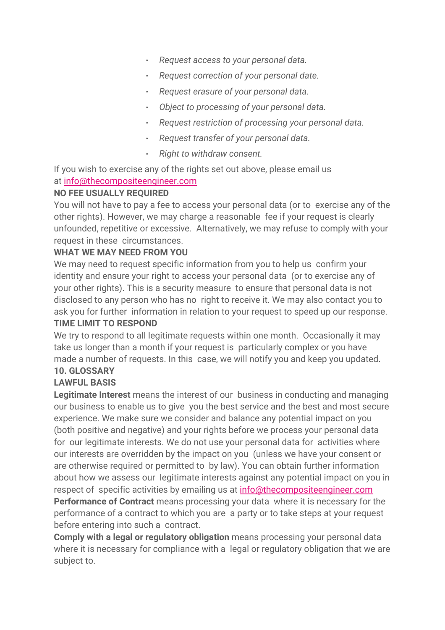- *Request access to your personal data.*
- *Request correction of your personal date.*
- *Request erasure of your personal data.*
- *Object to processing of your personal data.*
- *Request restriction of processing your personal data.*
- *Request transfer of your personal data.*
- *Right to withdraw consent.*

If you wish to exercise any of the rights set out above, please email us at [info@thecompositeengineer.com](mailto:info@thecompositeengineer.com)

#### **NO FEE USUALLY REQUIRED**

You will not have to paya fee to access your personal data (or to exercise any of the other rights). However, we may charge a reasonable fee if your request is clearly unfounded, repetitive or excessive. Alternatively, we may refuse to comply with your request in these circumstances.

#### **WHAT WE MAY NEED FROM YOU**

We may need to request specific information from you to help us confirm your identity and ensure your right to access your personal data (or to exercise any of your other rights). This is a security measure to ensure that personal data is not disclosed to any person who has no right to receive it. We may also contact you to ask you for further information in relation to your request to speed up our response.

#### **TIME LIMIT TO RESPOND**

We try to respond to all legitimate requests within one month. Occasionally it may take us longer than a month if your request is particularly complex or you have made a number of requests. In this case, we will notify you and keep you updated. **10. GLOSSARY**

#### **LAWFUL BASIS**

**Legitimate Interest** means the interest of our business in conducting and managing our business to enable us to give vou the best service and the best and most secure experience. We make sure we consider and balance any potential impact on you (both positive and negative) and your rights before we process your personal data for our legitimate interests. We do not use your personal data for activities where our interests are overridden by the impact on you (unless we have your consent or are otherwise required or permitted to by law). You can obtain further information about how we assess our legitimate interests against any potential impact on you in respect of specific activities by emailing us at [info@thecompositeengineer.com](mailto:info@thecompositeengineer.com) **Performance of Contract** means processing your data where it is necessary for the performance of a contract to which you are a party or to take steps atyour request

before entering into such a contract.

**Comply with a legal or regulatory obligation** means processing your personal data where it is necessary for compliance with a legal or regulatory obligation that we are subject to.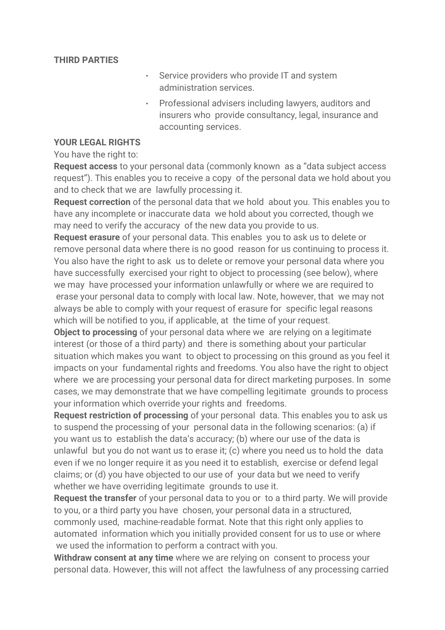#### **THIRD PARTIES**

- Service providers who provide IT and system administration services.
- Professional advisers including lawyers, auditors and insurers who provide consultancy, legal, insurance and accounting services.

#### **YOUR LEGAL RIGHTS**

You have the right to:

**Request access** to your personal data (commonly known as a "data subject access request"). This enables you to receive a copy of the personal data we hold about you and to check that we are lawfully processing it.

**Request correction** of the personal data that we hold about you. This enables you to have any incomplete or inaccurate data we hold about you corrected, though we may need to verify the accuracy of the new data you provide to us.

**Request erasure** of your personal data. This enables you to ask us to delete or remove personal data where there is no good reason for us continuing to process it. You also have the right to ask us to delete or remove your personal data where you have successfully exercised your right to object to processing (see below), where we may have processed your information unlawfully or where we are required to erase your personal data to comply with local law. Note, however, that we may not always be able to comply with your request of erasure for specific legal reasons which will be notified to you, if applicable, at the time of your request.

**Object to processing** of your personal data where we are relying on a legitimate interest (or those of a third party) and there is something about your particular situation which makes you want to object to processing on this ground as you feel it impacts on your fundamental rights and freedoms. You also have the right to object where we are processing your personal data for direct marketing purposes. In some cases, we may demonstrate that we have compelling legitimate grounds to process your information which override your rights and freedoms.

**Request restriction of processing** of your personal data. This enables you to ask us to suspend the processing of your personal data in the following scenarios: (a) if you want us to establish the data's accuracy; (b) where our use of the data is unlawful but you do not want us to erase it; (c) where you need us to hold the data even if we no longer require it as you need it to establish, exercise or defend legal claims; or (d) you have objected to our use of your data but we need to verify whether we have overriding legitimate grounds to use it.

**Request the transfer** of your personal data to you or to a third party. We will provide to you, or a third party you have chosen, your personal data in a structured, commonly used, machine-readable format. Note that this right only applies to automated information which you initially provided consent for us to use or where we used the information to perform a contract with you.

**Withdraw consent at any time** where we are relying on consent to process your personal data. However, this will not affect the lawfulness of any processing carried